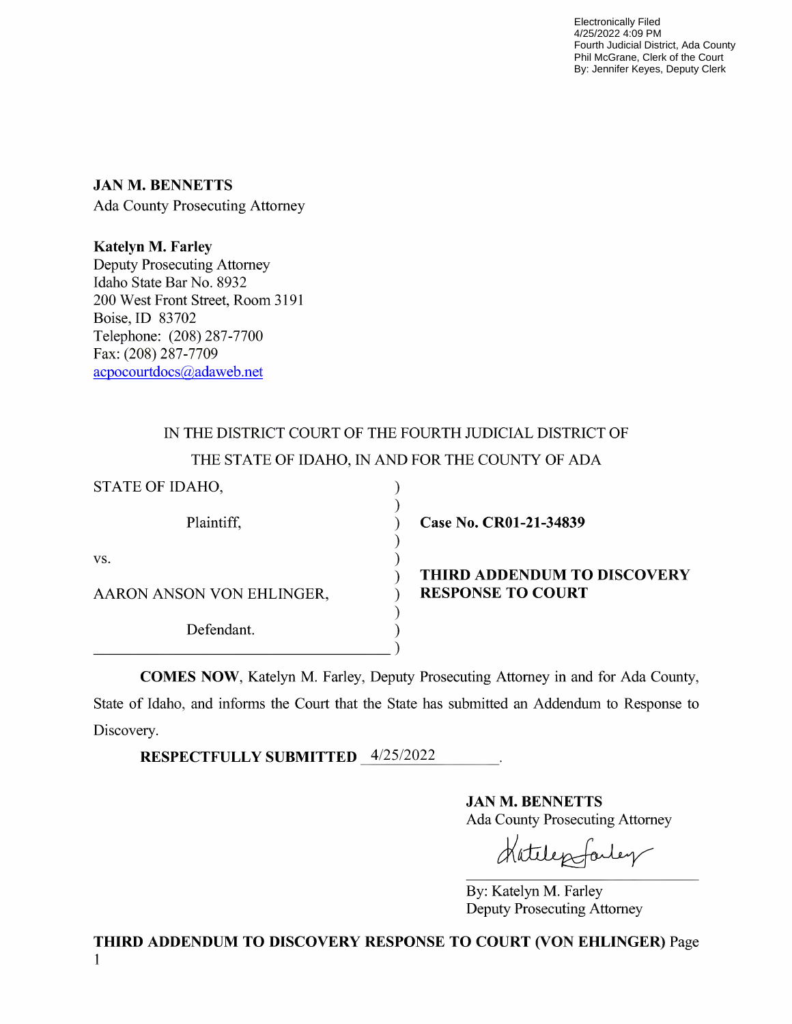Electronically Filed 4/25/2022 4:09 PM Fourth Judicial District, Ada County Phil McGrane, Clerk of the Court By: Jennifer Keyes, Deputy Clerk

JAN M. BENNETTS Ada County Prosecuting Attorney

Katelyn M. Farley Deputy Prosecuting Attorney Idaho State Bar No. 8932 200 West Front Street, Room 3191 Boise, ID 83702 Telephone: (208) 287-7700 Fax: (208) 287-7709 acpocourtdocs@adaweb.net

## IN THE DISTRICT COURT OF THE FOURTH JUDICIAL DISTRICT OF THE STATE OF IDAHO, IN AND FOR THE COUNTY OF ADA

| STATE OF IDAHO,           |           |
|---------------------------|-----------|
| Plaintiff,                | as        |
| VS.                       |           |
| AARON ANSON VON EHLINGER, | TH<br>RE: |
| Defendant.                |           |
|                           |           |

e No. CR01-21-34839

## IRD ADDENDUM TO DISCOVERY **SPONSE TO COURT**

COMES NOW, Katelyn M. Farley, Deputy Prosecuting Attorney in and for Ada County, State of Idaho, and informs the Court that the State has submitted an Addendum to Response to Discovery.

RESPECTFULLY SUBMITTED 4/25/2022

JAN M. BENNETTS

Ada County Prosecuting Attorney

By: Katelyn M. Farley Deputy Prosecuting Attorney

THIRD ADDENDUM TO DISCOVERY RESPONSE TO COURT (VON EHLINGER) Page 1